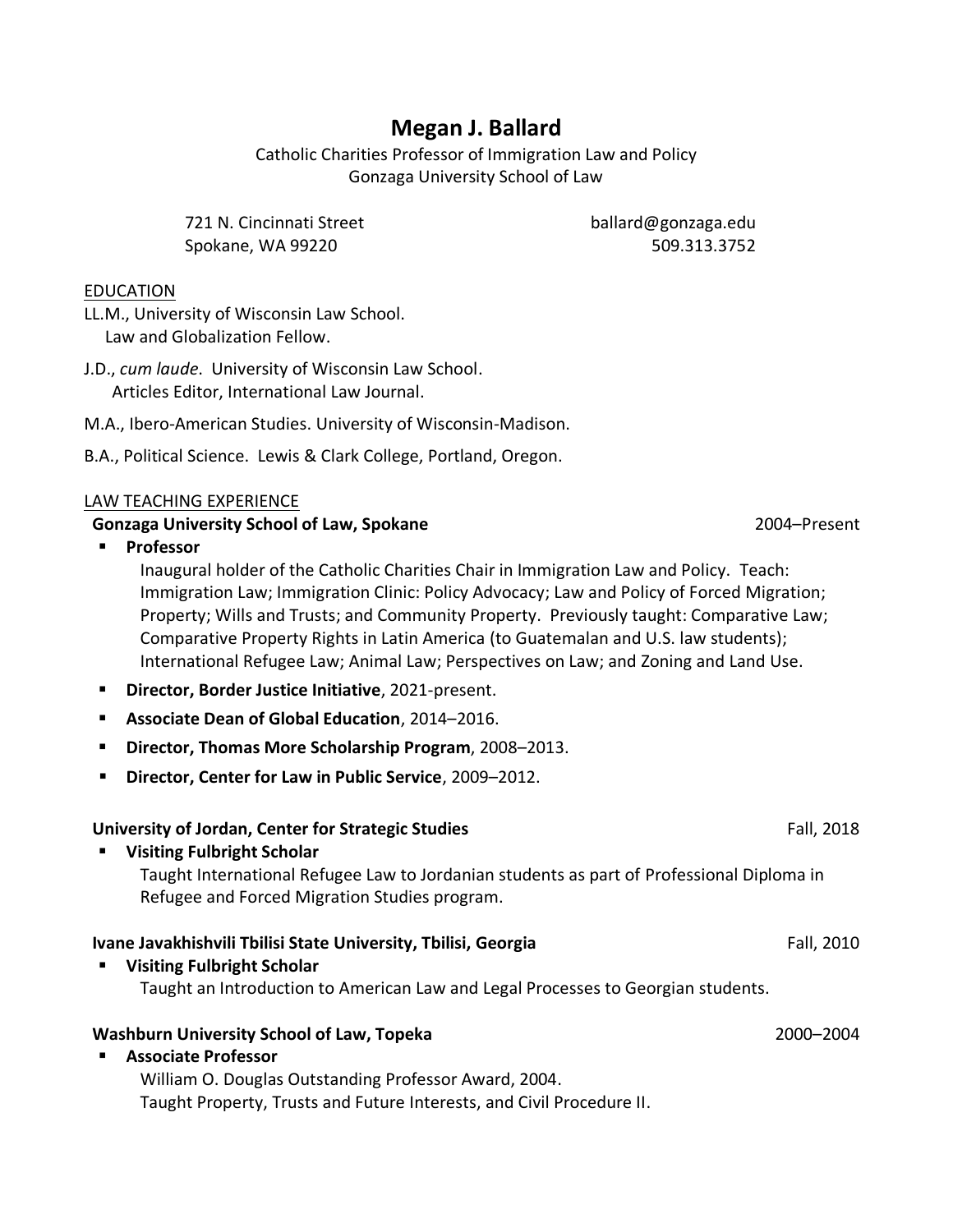# **Megan J. Ballard**

Catholic Charities Professor of Immigration Law and Policy Gonzaga University School of Law

721 N. Cincinnati Street Spokane, WA 99220

ballard@gonzaga.edu 509.313.3752

### EDUCATION

LL.M., University of Wisconsin Law School. Law and Globalization Fellow.

J.D., *cum laude*. University of Wisconsin Law School. Articles Editor, International Law Journal.

- M.A., Ibero-American Studies. University of Wisconsin-Madison.
- B.A., Political Science. Lewis & Clark College, Portland, Oregon.

#### LAW TEACHING EXPERIENCE

#### **Gonzaga University School of Law, Spokane** 2004–Present

▪ **Professor**

Inaugural holder of the Catholic Charities Chair in Immigration Law and Policy. Teach: Immigration Law; Immigration Clinic: Policy Advocacy; Law and Policy of Forced Migration; Property; Wills and Trusts; and Community Property. Previously taught: Comparative Law; Comparative Property Rights in Latin America (to Guatemalan and U.S. law students); International Refugee Law; Animal Law; Perspectives on Law; and Zoning and Land Use.

- **Director, Border Justice Initiative**, 2021-present.
- **Associate Dean of Global Education**, 2014–2016.
- **Director, Thomas More Scholarship Program**, 2008–2013.
- **Director, Center for Law in Public Service**, 2009–2012.

### **University of Jordan, Center for Strategic Studies** Fall, 2018

▪ **Visiting Fulbright Scholar** Taught International Refugee Law to Jordanian students as part of Professional Diploma in Refugee and Forced Migration Studies program.

### **Ivane Javakhishvili Tbilisi State University, Tbilisi, Georgia** Fall, 2010 Fall, 2010

▪ **Visiting Fulbright Scholar** Taught an Introduction to American Law and Legal Processes to Georgian students.

### **Washburn University School of Law, Topeka** 2000–2004

▪ **Associate Professor** William O. Douglas Outstanding Professor Award, 2004. Taught Property, Trusts and Future Interests, and Civil Procedure II.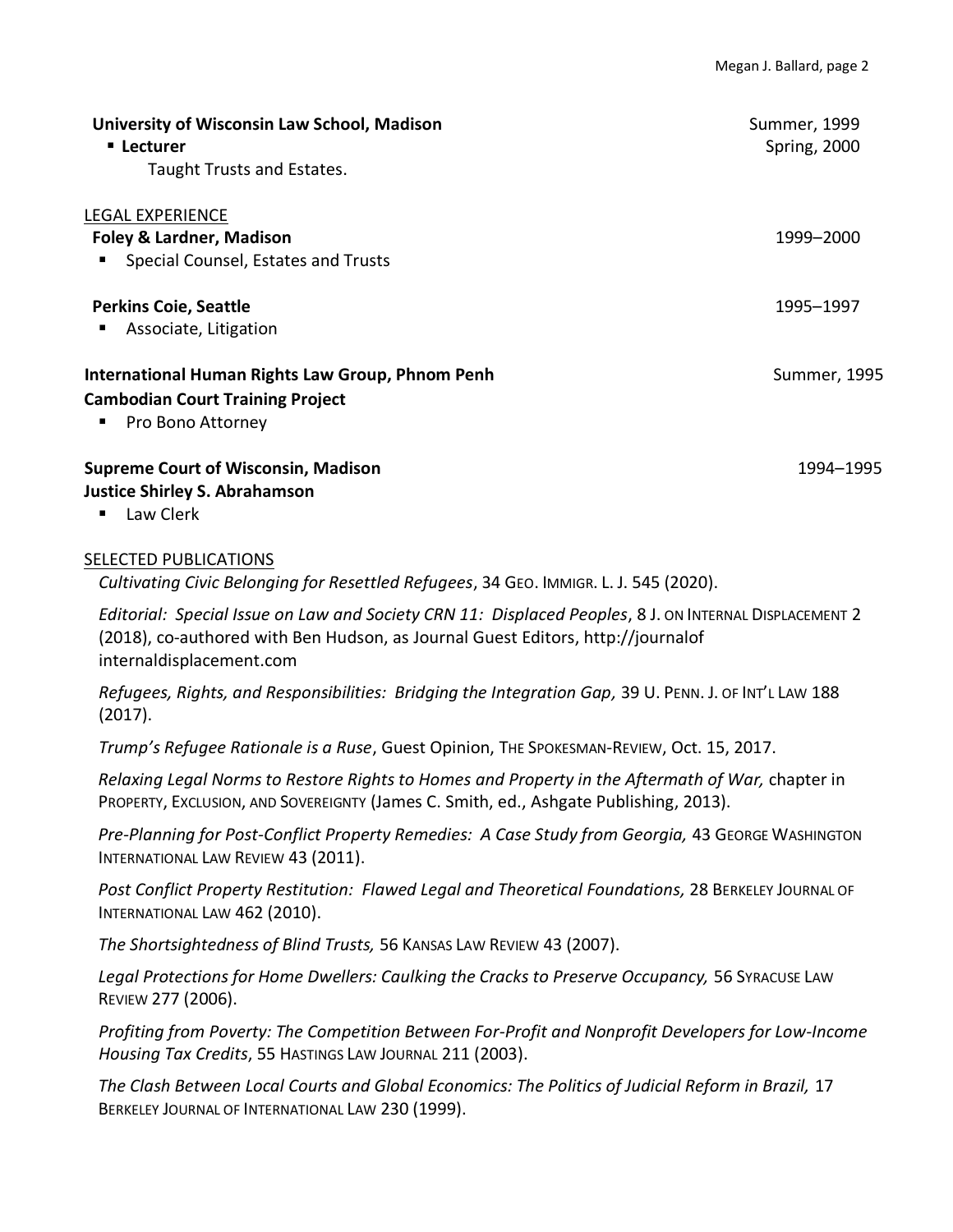| University of Wisconsin Law School, Madison<br>■ Lecturer<br>Taught Trusts and Estates.                          | Summer, 1999<br><b>Spring, 2000</b> |
|------------------------------------------------------------------------------------------------------------------|-------------------------------------|
| <b>LEGAL EXPERIENCE</b><br><b>Foley &amp; Lardner, Madison</b><br>Special Counsel, Estates and Trusts<br>п       | 1999–2000                           |
| <b>Perkins Coie, Seattle</b><br>Associate, Litigation<br>п                                                       | 1995-1997                           |
| International Human Rights Law Group, Phnom Penh<br><b>Cambodian Court Training Project</b><br>Pro Bono Attorney | Summer, 1995                        |
| <b>Supreme Court of Wisconsin, Madison</b><br><b>Justice Shirley S. Abrahamson</b>                               | 1994–1995                           |

■ Law Clerk

## SELECTED PUBLICATIONS

*Cultivating Civic Belonging for Resettled Refugees*, 34 GEO. IMMIGR. L. J. 545 (2020).

*Editorial: Special Issue on Law and Society CRN 11: Displaced Peoples*, 8 J. ON INTERNAL DISPLACEMENT 2 (2018), co-authored with Ben Hudson, as Journal Guest Editors, http://journalof internaldisplacement.com

*Refugees, Rights, and Responsibilities: Bridging the Integration Gap,* 39 U. PENN. J. OF INT'L LAW 188 (2017).

*Trump's Refugee Rationale is a Ruse*, Guest Opinion, THE SPOKESMAN-REVIEW, Oct. 15, 2017.

*Relaxing Legal Norms to Restore Rights to Homes and Property in the Aftermath of War,* chapter in PROPERTY, EXCLUSION, AND SOVEREIGNTY (James C. Smith, ed., Ashgate Publishing, 2013).

**Pre-Planning for Post-Conflict Property Remedies: A Case Study from Georgia, 43 GEORGE WASHINGTON** INTERNATIONAL LAW REVIEW 43 (2011).

*Post Conflict Property Restitution: Flawed Legal and Theoretical Foundations,* 28 BERKELEY JOURNAL OF INTERNATIONAL LAW 462 (2010).

*The Shortsightedness of Blind Trusts,* 56 KANSAS LAW REVIEW 43 (2007).

Legal Protections for Home Dwellers: Caulking the Cracks to Preserve Occupancy, 56 SYRACUSE LAW REVIEW 277 (2006).

*Profiting from Poverty: The Competition Between For-Profit and Nonprofit Developers for Low-Income Housing Tax Credits*, 55 HASTINGS LAW JOURNAL 211 (2003).

*The Clash Between Local Courts and Global Economics: The Politics of Judicial Reform in Brazil,* 17 BERKELEY JOURNAL OF INTERNATIONAL LAW 230 (1999).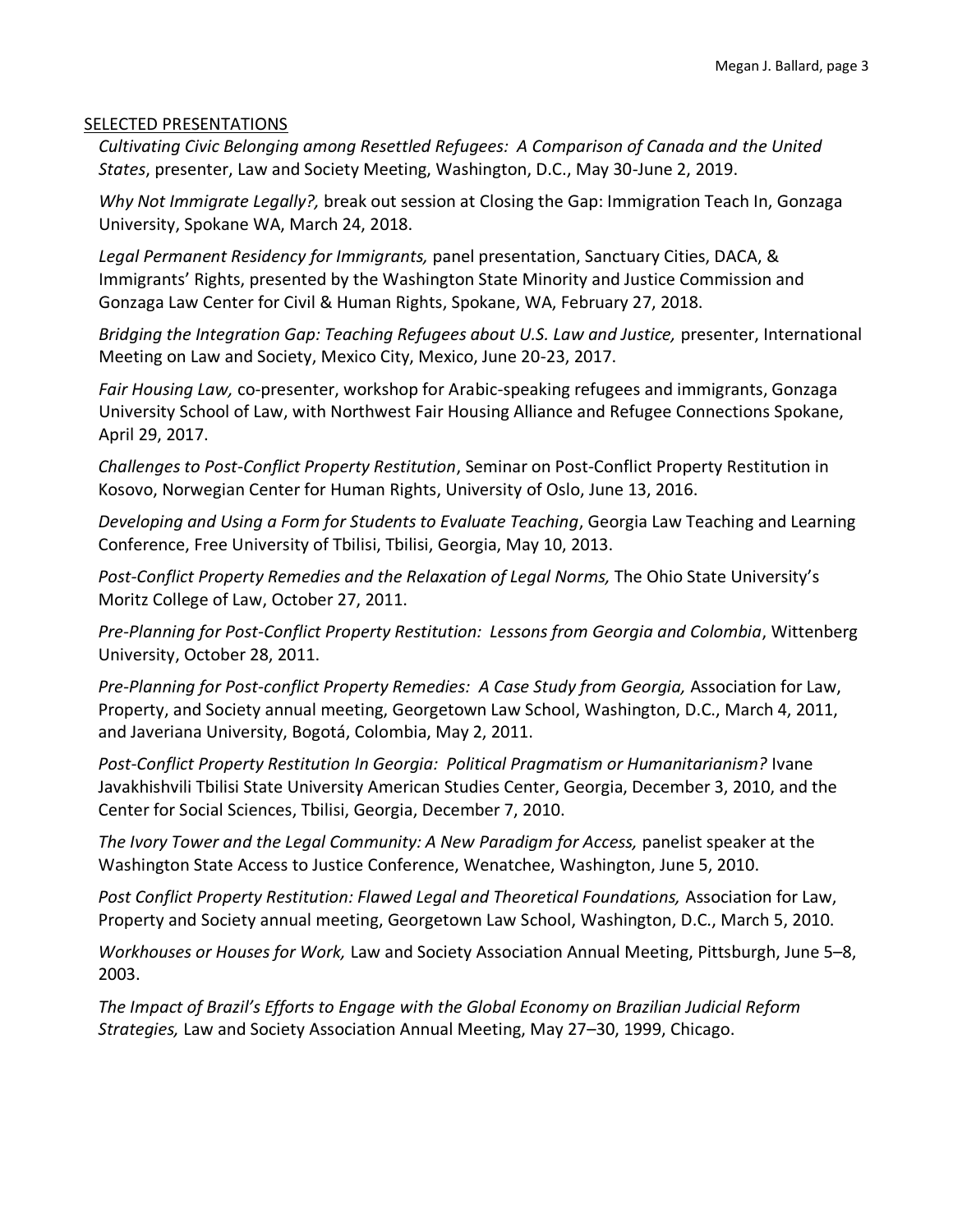#### SELECTED PRESENTATIONS

*Cultivating Civic Belonging among Resettled Refugees: A Comparison of Canada and the United States*, presenter, Law and Society Meeting, Washington, D.C., May 30-June 2, 2019.

*Why Not Immigrate Legally?,* break out session at Closing the Gap: Immigration Teach In, Gonzaga University, Spokane WA, March 24, 2018.

*Legal Permanent Residency for Immigrants,* panel presentation, Sanctuary Cities, DACA, & Immigrants' Rights, presented by the Washington State Minority and Justice Commission and Gonzaga Law Center for Civil & Human Rights, Spokane, WA, February 27, 2018.

*Bridging the Integration Gap: Teaching Refugees about U.S. Law and Justice,* presenter, International Meeting on Law and Society, Mexico City, Mexico, June 20-23, 2017.

*Fair Housing Law,* co-presenter, workshop for Arabic-speaking refugees and immigrants, Gonzaga University School of Law, with Northwest Fair Housing Alliance and Refugee Connections Spokane, April 29, 2017.

*Challenges to Post-Conflict Property Restitution*, Seminar on Post-Conflict Property Restitution in Kosovo, Norwegian Center for Human Rights, University of Oslo, June 13, 2016.

*Developing and Using a Form for Students to Evaluate Teaching*, Georgia Law Teaching and Learning Conference, Free University of Tbilisi, Tbilisi, Georgia, May 10, 2013.

Post-Conflict Property Remedies and the Relaxation of Legal Norms, The Ohio State University's Moritz College of Law, October 27, 2011.

*Pre-Planning for Post-Conflict Property Restitution: Lessons from Georgia and Colombia*, Wittenberg University, October 28, 2011.

Pre-Planning for Post-conflict Property Remedies: A Case Study from Georgia, Association for Law, Property, and Society annual meeting, Georgetown Law School, Washington, D.C., March 4, 2011, and Javeriana University, Bogotá, Colombia, May 2, 2011.

*Post-Conflict Property Restitution In Georgia: Political Pragmatism or Humanitarianism?* Ivane Javakhishvili Tbilisi State University American Studies Center, Georgia, December 3, 2010, and the Center for Social Sciences, Tbilisi, Georgia, December 7, 2010.

*The Ivory Tower and the Legal Community: A New Paradigm for Access, panelist speaker at the* Washington State Access to Justice Conference, Wenatchee, Washington, June 5, 2010.

Post Conflict Property Restitution: Flawed Legal and Theoretical Foundations, Association for Law, Property and Society annual meeting, Georgetown Law School, Washington, D.C., March 5, 2010.

*Workhouses or Houses for Work,* Law and Society Association Annual Meeting, Pittsburgh, June 5–8, 2003.

*The Impact of Brazil's Efforts to Engage with the Global Economy on Brazilian Judicial Reform Strategies,* Law and Society Association Annual Meeting, May 27–30, 1999, Chicago.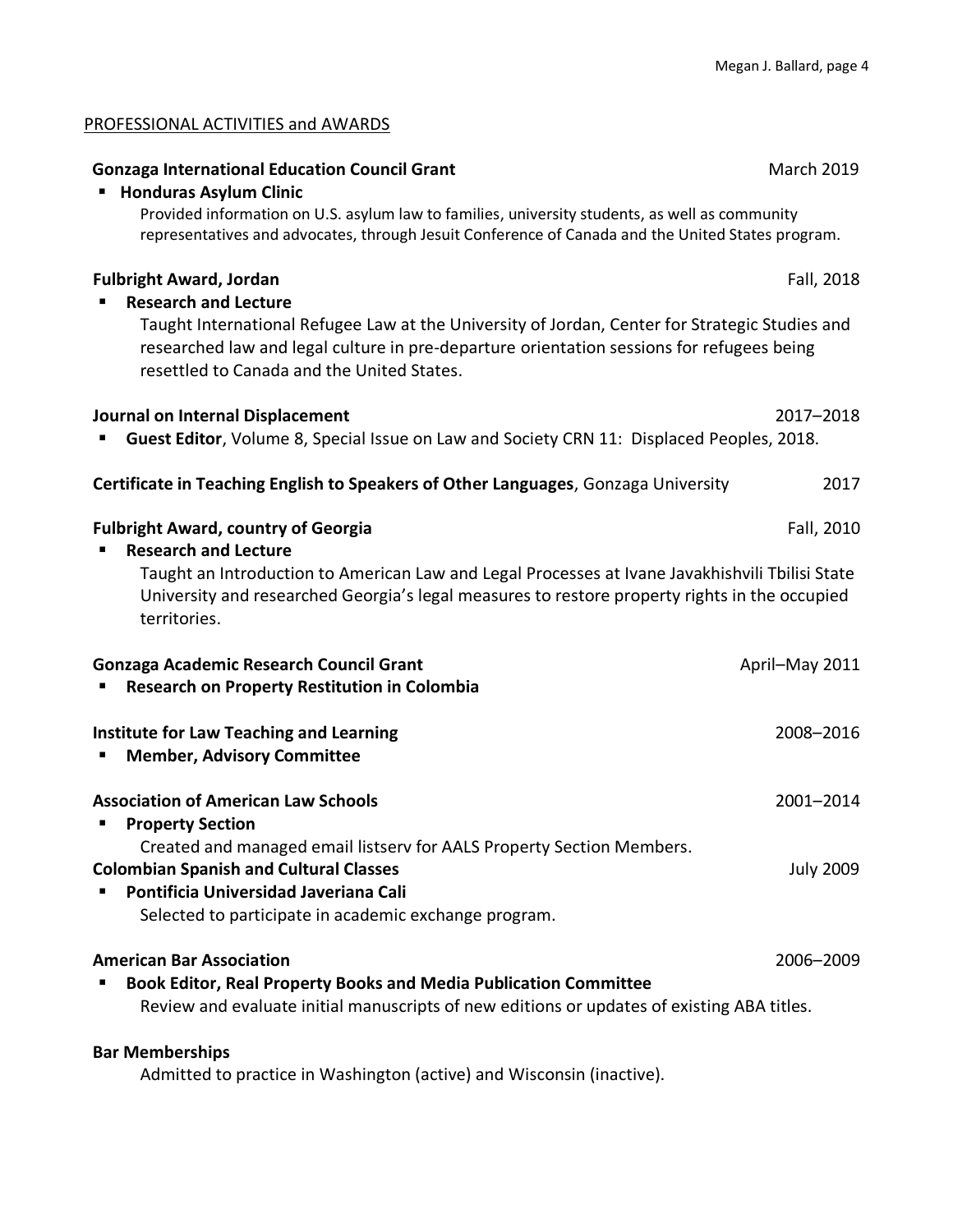| <b>Gonzaga International Education Council Grant</b><br><b>Honduras Asylum Clinic</b><br>Provided information on U.S. asylum law to families, university students, as well as community<br>representatives and advocates, through Jesuit Conference of Canada and the United States program.                | <b>March 2019</b> |
|-------------------------------------------------------------------------------------------------------------------------------------------------------------------------------------------------------------------------------------------------------------------------------------------------------------|-------------------|
| <b>Fulbright Award, Jordan</b><br><b>Research and Lecture</b><br>Taught International Refugee Law at the University of Jordan, Center for Strategic Studies and<br>researched law and legal culture in pre-departure orientation sessions for refugees being<br>resettled to Canada and the United States.  | Fall, 2018        |
| Journal on Internal Displacement<br>Guest Editor, Volume 8, Special Issue on Law and Society CRN 11: Displaced Peoples, 2018.                                                                                                                                                                               | 2017-2018         |
| Certificate in Teaching English to Speakers of Other Languages, Gonzaga University                                                                                                                                                                                                                          | 2017              |
| <b>Fulbright Award, country of Georgia</b><br>Fall, 2010<br><b>Research and Lecture</b><br>Taught an Introduction to American Law and Legal Processes at Ivane Javakhishvili Tbilisi State<br>University and researched Georgia's legal measures to restore property rights in the occupied<br>territories. |                   |
| <b>Gonzaga Academic Research Council Grant</b><br><b>Research on Property Restitution in Colombia</b>                                                                                                                                                                                                       | April-May 2011    |
| <b>Institute for Law Teaching and Learning</b><br><b>Member, Advisory Committee</b>                                                                                                                                                                                                                         | 2008-2016         |
| <b>Association of American Law Schools</b><br><b>Property Section</b><br>Created and managed email listserv for AALS Property Section Members.                                                                                                                                                              | 2001-2014         |
| <b>Colombian Spanish and Cultural Classes</b><br>Pontificia Universidad Javeriana Cali<br>Selected to participate in academic exchange program.                                                                                                                                                             | <b>July 2009</b>  |
| <b>American Bar Association</b><br><b>Book Editor, Real Property Books and Media Publication Committee</b><br>Review and evaluate initial manuscripts of new editions or updates of existing ABA titles.                                                                                                    | 2006-2009         |

# **Bar Memberships**

PROFESSIONAL ACTIVITIES and AWARDS

Admitted to practice in Washington (active) and Wisconsin (inactive).